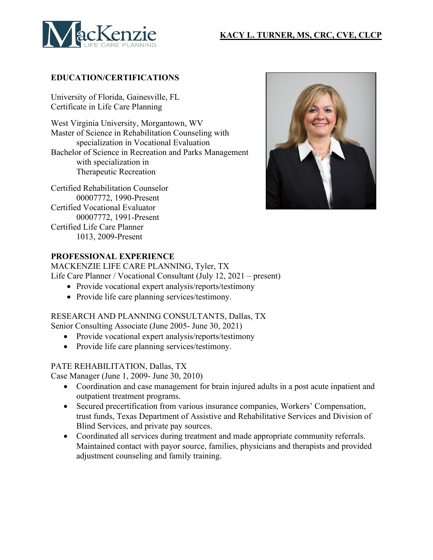## **KACY L. TURNER, MS, CRC, CVE, CLCP**



### **EDUCATION/CERTIFICATIONS**

University of Florida, Gainesville, FL Certificate in Life Care Planning

West Virginia University, Morgantown, WV Master of Science in Rehabilitation Counseling with specialization in Vocational Evaluation Bachelor of Science in Recreation and Parks Management with specialization in Therapeutic Recreation

Certified Rehabilitation Counselor 00007772, 1990-Present Certified Vocational Evaluator 00007772, 1991-Present Certified Life Care Planner 1013, 2009-Present



### **PROFESSIONAL EXPERIENCE**

MACKENZIE LIFE CARE PLANNING, Tyler, TX Life Care Planner / Vocational Consultant (July 12, 2021 – present)

- Provide vocational expert analysis/reports/testimony
- Provide life care planning services/testimony.

#### RESEARCH AND PLANNING CONSULTANTS, Dallas, TX

Senior Consulting Associate (June 2005- June 30, 2021)

- Provide vocational expert analysis/reports/testimony
- Provide life care planning services/testimony.

### PATE REHABILITATION, Dallas, TX

Case Manager (June 1, 2009- June 30, 2010)

- Coordination and case management for brain injured adults in a post acute inpatient and outpatient treatment programs.
- Secured precertification from various insurance companies, Workers' Compensation, trust funds, Texas Department of Assistive and Rehabilitative Services and Division of Blind Services, and private pay sources.
- Coordinated all services during treatment and made appropriate community referrals. Maintained contact with payor source, families, physicians and therapists and provided adjustment counseling and family training.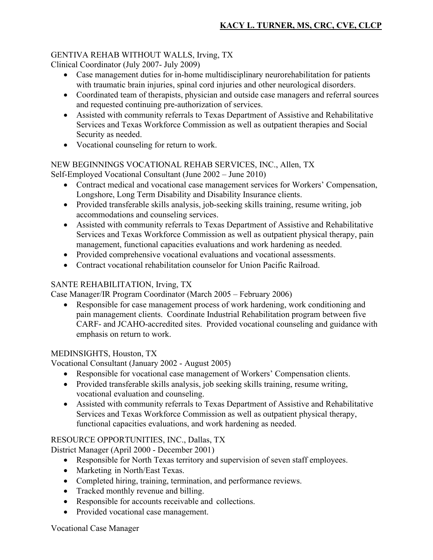## GENTIVA REHAB WITHOUT WALLS, Irving, TX

Clinical Coordinator (July 2007- July 2009)

- Case management duties for in-home multidisciplinary neurorehabilitation for patients with traumatic brain injuries, spinal cord injuries and other neurological disorders.
- Coordinated team of therapists, physician and outside case managers and referral sources and requested continuing pre-authorization of services.
- Assisted with community referrals to Texas Department of Assistive and Rehabilitative Services and Texas Workforce Commission as well as outpatient therapies and Social Security as needed.
- Vocational counseling for return to work.

#### NEW BEGINNINGS VOCATIONAL REHAB SERVICES, INC., Allen, TX Self-Employed Vocational Consultant (June 2002 – June 2010)

- Contract medical and vocational case management services for Workers' Compensation, Longshore, Long Term Disability and Disability Insurance clients.
- Provided transferable skills analysis, job-seeking skills training, resume writing, job accommodations and counseling services.
- Assisted with community referrals to Texas Department of Assistive and Rehabilitative Services and Texas Workforce Commission as well as outpatient physical therapy, pain management, functional capacities evaluations and work hardening as needed.
- Provided comprehensive vocational evaluations and vocational assessments.
- Contract vocational rehabilitation counselor for Union Pacific Railroad.

## SANTE REHABILITATION, Irving, TX

Case Manager/IR Program Coordinator (March 2005 – February 2006)

• Responsible for case management process of work hardening, work conditioning and pain management clients. Coordinate Industrial Rehabilitation program between five CARF- and JCAHO-accredited sites. Provided vocational counseling and guidance with emphasis on return to work.

## MEDINSIGHTS, Houston, TX

Vocational Consultant (January 2002 - August 2005)

- Responsible for vocational case management of Workers' Compensation clients.
- Provided transferable skills analysis, job seeking skills training, resume writing, vocational evaluation and counseling.
- Assisted with community referrals to Texas Department of Assistive and Rehabilitative Services and Texas Workforce Commission as well as outpatient physical therapy, functional capacities evaluations, and work hardening as needed.

## RESOURCE OPPORTUNITIES, INC., Dallas, TX

District Manager (April 2000 - December 2001)

- Responsible for North Texas territory and supervision of seven staff employees.
- Marketing in North/East Texas.
- Completed hiring, training, termination, and performance reviews.
- Tracked monthly revenue and billing.
- Responsible for accounts receivable and collections.
- Provided vocational case management.

#### Vocational Case Manager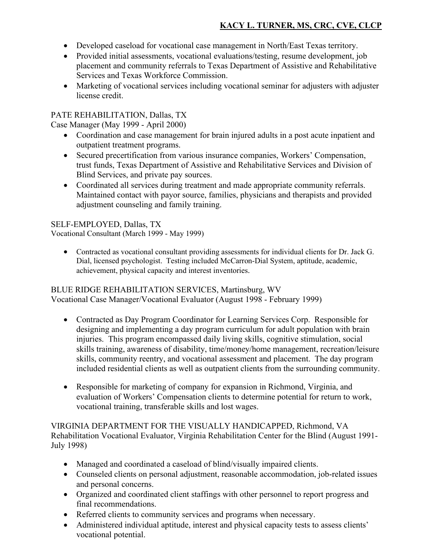# **KACY L. TURNER, MS, CRC, CVE, CLCP**

- Developed caseload for vocational case management in North/East Texas territory.
- Provided initial assessments, vocational evaluations/testing, resume development, job placement and community referrals to Texas Department of Assistive and Rehabilitative Services and Texas Workforce Commission.
- Marketing of vocational services including vocational seminar for adjusters with adjuster license credit.

### PATE REHABILITATION, Dallas, TX

Case Manager (May 1999 - April 2000)

- Coordination and case management for brain injured adults in a post acute inpatient and outpatient treatment programs.
- Secured precertification from various insurance companies, Workers' Compensation, trust funds, Texas Department of Assistive and Rehabilitative Services and Division of Blind Services, and private pay sources.
- Coordinated all services during treatment and made appropriate community referrals. Maintained contact with payor source, families, physicians and therapists and provided adjustment counseling and family training.

## SELF-EMPLOYED, Dallas, TX

Vocational Consultant (March 1999 - May 1999)

• Contracted as vocational consultant providing assessments for individual clients for Dr. Jack G. Dial, licensed psychologist. Testing included McCarron-Dial System, aptitude, academic, achievement, physical capacity and interest inventories.

#### BLUE RIDGE REHABILITATION SERVICES, Martinsburg, WV Vocational Case Manager/Vocational Evaluator (August 1998 - February 1999)

- Contracted as Day Program Coordinator for Learning Services Corp. Responsible for designing and implementing a day program curriculum for adult population with brain injuries. This program encompassed daily living skills, cognitive stimulation, social skills training, awareness of disability, time/money/home management, recreation/leisure skills, community reentry, and vocational assessment and placement. The day program included residential clients as well as outpatient clients from the surrounding community.
- Responsible for marketing of company for expansion in Richmond, Virginia, and evaluation of Workers' Compensation clients to determine potential for return to work, vocational training, transferable skills and lost wages.

VIRGINIA DEPARTMENT FOR THE VISUALLY HANDICAPPED, Richmond, VA Rehabilitation Vocational Evaluator, Virginia Rehabilitation Center for the Blind (August 1991- July 1998)

- Managed and coordinated a caseload of blind/visually impaired clients.
- Counseled clients on personal adjustment, reasonable accommodation, job-related issues and personal concerns.
- Organized and coordinated client staffings with other personnel to report progress and final recommendations.
- Referred clients to community services and programs when necessary.
- Administered individual aptitude, interest and physical capacity tests to assess clients' vocational potential.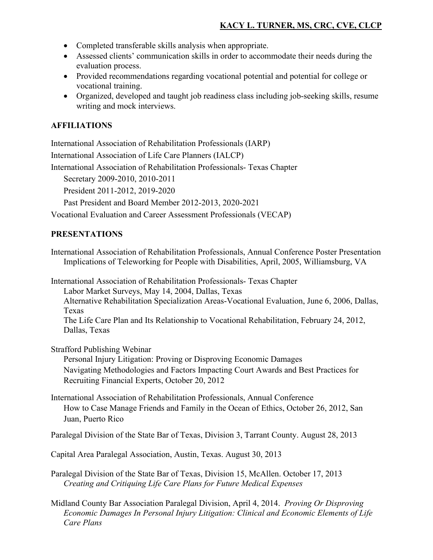- Completed transferable skills analysis when appropriate.
- Assessed clients' communication skills in order to accommodate their needs during the evaluation process.
- Provided recommendations regarding vocational potential and potential for college or vocational training.
- Organized, developed and taught job readiness class including job-seeking skills, resume writing and mock interviews.

## **AFFILIATIONS**

International Association of Rehabilitation Professionals (IARP) International Association of Life Care Planners (IALCP) International Association of Rehabilitation Professionals- Texas Chapter Secretary 2009-2010, 2010-2011 President 2011-2012, 2019-2020

Past President and Board Member 2012-2013, 2020-2021

Vocational Evaluation and Career Assessment Professionals (VECAP)

### **PRESENTATIONS**

International Association of Rehabilitation Professionals, Annual Conference Poster Presentation Implications of Teleworking for People with Disabilities, April, 2005, Williamsburg, VA

International Association of Rehabilitation Professionals- Texas Chapter Labor Market Surveys, May 14, 2004, Dallas, Texas Alternative Rehabilitation Specialization Areas-Vocational Evaluation, June 6, 2006, Dallas, Texas The Life Care Plan and Its Relationship to Vocational Rehabilitation, February 24, 2012, Dallas, Texas

Strafford Publishing Webinar

Personal Injury Litigation: Proving or Disproving Economic Damages Navigating Methodologies and Factors Impacting Court Awards and Best Practices for Recruiting Financial Experts, October 20, 2012

International Association of Rehabilitation Professionals, Annual Conference How to Case Manage Friends and Family in the Ocean of Ethics, October 26, 2012, San Juan, Puerto Rico

Paralegal Division of the State Bar of Texas, Division 3, Tarrant County. August 28, 2013

Capital Area Paralegal Association, Austin, Texas. August 30, 2013

Paralegal Division of the State Bar of Texas, Division 15, McAllen. October 17, 2013 *Creating and Critiquing Life Care Plans for Future Medical Expenses*

Midland County Bar Association Paralegal Division, April 4, 2014. *Proving Or Disproving Economic Damages In Personal Injury Litigation: Clinical and Economic Elements of Life Care Plans*